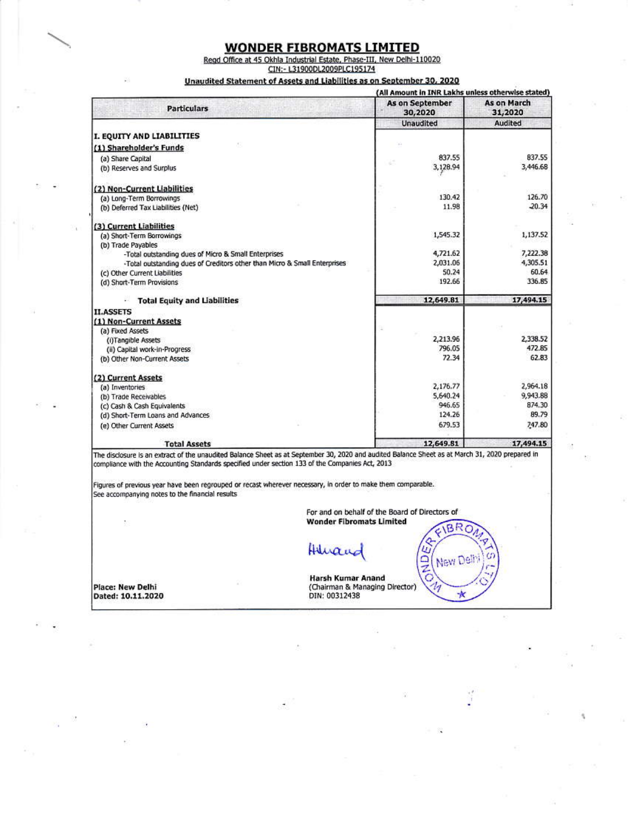#### **WONDER FIBROMATS LIMITED**

Regd Office at 45 Okhla Industrial Estate, Phase-III, New Delhi-110020<br>CIN:- L31900DL2009PLC195174

#### Unaudited Statement of Assets and Liabilities as on September 30, 2020

|                                                                           | (All Amount in INR Lakhs unless otherwise stated) |                        |  |
|---------------------------------------------------------------------------|---------------------------------------------------|------------------------|--|
| <b>Particulars</b>                                                        | As on September<br>30,2020                        | As on March<br>31,2020 |  |
|                                                                           | <b>Unaudited</b>                                  | Audited                |  |
| I. EQUITY AND LIABILITIES                                                 |                                                   |                        |  |
| (1) Shareholder's Funds                                                   |                                                   |                        |  |
| (a) Share Capital                                                         | 837.55                                            | 837.55                 |  |
| (b) Reserves and Surplus                                                  | 3,128.94                                          | 3,446.68               |  |
|                                                                           |                                                   |                        |  |
| (2) Non-Current Liabilities                                               |                                                   |                        |  |
| (a) Long-Term Borrowings                                                  | 130.42                                            | 126.70                 |  |
| (b) Deferred Tax Liabilities (Net)                                        | 11.98                                             | $-20.34$               |  |
| (3) Current Liabilities                                                   |                                                   |                        |  |
| (a) Short-Term Borrowings                                                 | 1,545.32                                          | 1,137.52               |  |
| (b) Trade Pavables                                                        |                                                   |                        |  |
| -Total outstanding dues of Micro & Small Enterprises                      | 4,721.62                                          | 7,222.38               |  |
| -Total outstanding dues of Creditors other than Micro & Small Enterprises | 2,031.06                                          | 4,305.51               |  |
| (c) Other Current Liabilities                                             | 50.24                                             | 60.64                  |  |
| (d) Short-Term Provisions                                                 | 192.66                                            | 336.85                 |  |
| <b>Total Equity and Liabilities</b>                                       | 12,649.81                                         | 17,494.15              |  |
| <b>II.ASSETS</b>                                                          |                                                   |                        |  |
| (1) Non-Current Assets                                                    |                                                   |                        |  |
| (a) Fixed Assets                                                          |                                                   |                        |  |
| (i)Tangible Assets                                                        | 2,213.96                                          | 2,338.52               |  |
| (ii) Capital work-in-Progress                                             | 796.05                                            | 472.85                 |  |
| (b) Other Non-Current Assets                                              | 72.34                                             | 62.83                  |  |
| (2) Current Assets                                                        |                                                   |                        |  |
| (a) Inventories                                                           | 2,176.77                                          | 2,964.18               |  |
| (b) Trade Receivables                                                     | 5,640.24                                          | 9,943.88               |  |
| (c) Cash & Cash Equivalents                                               | 946.65                                            | 874.30                 |  |
| (d) Short-Term Loans and Advances                                         | 124.26                                            | 89.79                  |  |
| (e) Other Current Assets                                                  | 679.53                                            | 747.80                 |  |
| <b>Total Assets</b>                                                       | 12,649.81                                         | 17,494.15              |  |

The disclosure is an extract of the unaudited Balance Sheet as at September 30, 2020 and audited Balance Sheet as at March 31, 2020 prepared in compliance with the Accounting Standards specified under section 133 of the Companies Act, 2013

Figures of previous year have been regrouped or recast wherever necessary, in order to make them comparable. See accompanying notes to the financial results

> For and on behalf of the Board of Directors of **Wonder Fibromats Limited BRO**

> > ¢

New Delt

 $\mathcal{N}$ 

ω ONDA

Huran

Place: New Delhi<br>Dated: 10.11.2020

Harsh Kumar Anand (Chairman & Managing Director) DIN: 00312438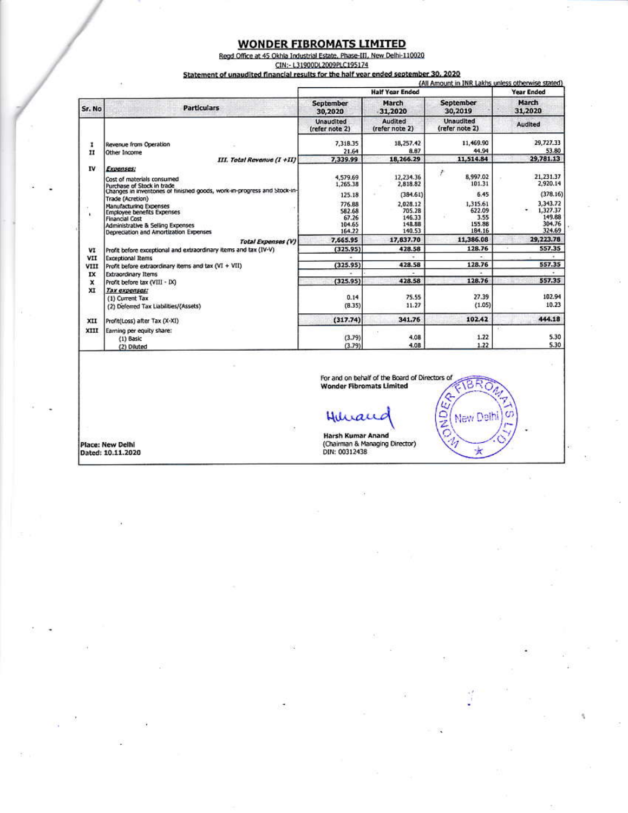#### **WONDER FIBROMATS LIMITED**

Regd Office at 45 Okhla Industrial Estate, Phase-III, New Delhi-110020

CIN:- L31900DL2009PLC195174

#### Statement of unaudited financial results for the half year ended september 30, 2020

|              |                                                                                                                                                                     |                                               |                                                  | (All Amount in JNR Lakhs unless otherwise stated) |                                                         |
|--------------|---------------------------------------------------------------------------------------------------------------------------------------------------------------------|-----------------------------------------------|--------------------------------------------------|---------------------------------------------------|---------------------------------------------------------|
|              |                                                                                                                                                                     |                                               | <b>Half Year Ended</b>                           |                                                   | <b>Year Ended</b>                                       |
| Sr. No       | <b>Particulars</b>                                                                                                                                                  | September<br>30,2020                          | March<br>31,2020                                 | September<br>30,2019                              | March<br>31,2020                                        |
|              |                                                                                                                                                                     | Unaudited<br>(refer note 2)                   | Audited<br>(refer note 2)                        | <b>Unaudited</b><br>(refer note 2)                | Audited                                                 |
| 1            | Revenue from Operation                                                                                                                                              | 7,318.35                                      | 18,257.42                                        | 11,469.90                                         | 29,727.33                                               |
| $\mathbf{H}$ | Other Income                                                                                                                                                        | 21.64                                         | 8.87                                             | 44.94                                             | 53.80                                                   |
|              | III. Total Revenue (I +II)                                                                                                                                          | 7,339.99                                      | 18,266.29                                        | 11,514.84                                         | 29,781.13                                               |
| IV           | Expenses:<br>Cost of materials consumed<br>Purchase of Stock in trade                                                                                               | 4,579.69<br>1,265.38                          | 12,234.36<br>2,818.82                            | ŧ<br>8,997.02<br>101.31                           | 21,231.37<br>2,920.14                                   |
|              | Changes in inventones of finished goods, work-in-progress and Stock-in-<br>Trade (Acretion)                                                                         | 125.18                                        | (384.61)                                         | 6.45                                              | (378.16)                                                |
| ×.           | Manufacturing Expenses<br><b>Employee benefits Expenses</b><br><b>Financial Cost</b><br>Administrative & Selling Expenses<br>Depreciation and Amortization Expenses | 776.88<br>582.68<br>67.26<br>104.65<br>164.22 | 2,028.12<br>705.28<br>146.33<br>148.88<br>140.53 | 1,315.61<br>622.09<br>3.55<br>155.88<br>184.16    | 3,343.72<br>1,327.37<br>۰<br>149.88<br>304.76<br>324.69 |
|              | <b>Total Expenses (V)</b>                                                                                                                                           | 7,665.95                                      | 17,837.70                                        | 11,386.08                                         | 29,223.78                                               |
| VI           | Profit before exceptional and extraordinary items and tax (IV-V)                                                                                                    | (325.95)                                      | 428.58                                           | 128.76                                            | 557.35                                                  |
| VII          | <b>Exceptional Items</b>                                                                                                                                            |                                               |                                                  |                                                   |                                                         |
| VIII         | Profit before extraordinary items and tax (VI + VII)                                                                                                                | (325.95)                                      | 428.58                                           | 128.76                                            | 557.35                                                  |
| IX           | <b>Extraordinary Items</b>                                                                                                                                          |                                               |                                                  |                                                   |                                                         |
| ×            | Profit before tax (VIII - IX)                                                                                                                                       | (325.95)                                      | 428.58                                           | 128.76                                            | 557.35                                                  |
| XI           | Tax expenses:<br>(1) Current Tax                                                                                                                                    | 0.14                                          | 75.55                                            | 27.39                                             | 102.94                                                  |
|              | (2) Deferred Tax Liabilities/(Assets)                                                                                                                               | (8.35)                                        | 11.27                                            | (1.05)                                            | 10.23                                                   |
| XII          | Profit(Loss) after Tax (X-XI)                                                                                                                                       | (317.74)                                      | 341.76                                           | 102.42                                            | 444.18                                                  |
| XIII         | Earning per equity share:<br>(1) Basic<br>(2) Diluted                                                                                                               | (3.79)<br>(3.79)                              | TU.<br>4.08<br>4.08                              | $+1$<br>1.22<br>1.22                              | 5.30<br>5.30                                            |

For and on behalf of the Board of Directors of<br>Wonder Fibromats Limited ETBRO

ONDER

t,

New Delhi

 $\star$ 

ď

Place: New Delhi<br>Dated: 10.11.2020

Huran

Harsh Kumar Anand<br>(Chairman & Managing Director)<br>DIN: 00312438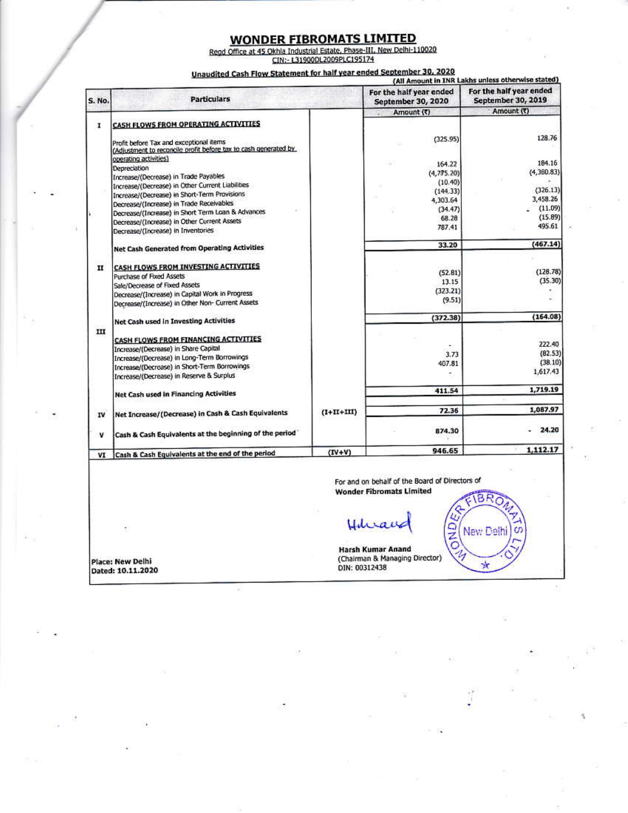### **WONDER FIBROMATS LIMITED**

Regd Office at 45 Okhla Industrial Estate, Phase-III, New Delhi-110020<br>CIN:- L31900DL2009PLC195174

Unaudited Cash Flow Statement for half year ended September 30, 2020

| S. No.       | <b>Particulars</b>                                                                                                                                                                                                      |              | For the half year ended<br><b>September 30, 2020</b> | For the half year ended<br>September 30, 2019 |
|--------------|-------------------------------------------------------------------------------------------------------------------------------------------------------------------------------------------------------------------------|--------------|------------------------------------------------------|-----------------------------------------------|
|              |                                                                                                                                                                                                                         |              | Amount (₹)                                           | Amount (₹)                                    |
| 1            | CASH FLOWS FROM OPERATING ACTIVITIES<br>Profit before Tax and exceptional items<br>(Adjustment to reconcile profit before tax to cash generated by                                                                      |              | (325.95)                                             | 128.76                                        |
|              | operating activities)<br>Depreciation<br>Increase/(Decrease) in Trade Payables<br>Increase/(Decrease) in Other Current Liabilities                                                                                      |              | 164.22<br>(4,775.20)<br>(10.40)<br>(144.33)          | 184.16<br>(4,380.83)<br>(326.13)              |
|              | Increase/(Decrease) in Short-Term Provisions                                                                                                                                                                            |              | 4,303.64                                             | 3,458.26                                      |
|              | Decrease/(Increase) in Trade Receivables                                                                                                                                                                                |              | (34.47)                                              | (11.09)                                       |
|              | Decrease/(Increase) in Short Term Loan & Advances<br>Decrease/(Increase) in Other Current Assets<br>Decrease/(Increase) in Inventories                                                                                  |              | 68.28<br>787.41                                      | (15.89)<br>495.61                             |
|              | Net Cash Generated from Operating Activities                                                                                                                                                                            |              | 33.20                                                | (467.14)                                      |
| $\mathbf{H}$ | CASH FLOWS FROM INVESTING ACTIVITIES<br><b>Purchase of Fixed Assets</b><br>Sale/Decrease of Fixed Assets<br>Decrease/(Increase) in Capital Work in Progress<br>Decrease/(Increase) in Other Non- Current Assets         |              | (52.81)<br>13.15<br>(323.21)<br>(9.51)               | (128.78)<br>(35.30)                           |
|              | Net Cash used in Investing Activities                                                                                                                                                                                   |              | (372.38)                                             | (164.08)                                      |
| IЦ           | CASH FLOWS FROM FINANCING ACTIVITIES<br>Increase/(Decrease) in Share Capital<br>Increase/(Decrease) in Long-Term Borrowings<br>Increase/(Decrease) in Short-Term Borrowings<br>Increase/(Decrease) in Reserve & Surplus |              | 3.73<br>407.81<br>۰                                  | 222,40<br>(82.53)<br>(38.10)<br>1,617.43      |
|              | <b>Net Cash used in Financing Activities</b>                                                                                                                                                                            |              | 411.54                                               | 1,719.19                                      |
| IV           | Net Increase/(Decrease) in Cash & Cash Equivalents                                                                                                                                                                      | $(I+II+III)$ | 72.36                                                | 1,087.97                                      |
| ۷            | Cash & Cash Equivalents at the beginning of the period                                                                                                                                                                  |              | 874.30                                               | 24.20                                         |
| VI           | Cash & Cash Equivalents at the end of the period                                                                                                                                                                        | $(IV+V)$     | 946.65                                               | 1.112.17                                      |

**Wonder Fibromats Limited** 

BR

New Delhi

×

U

ONDER

n i

Harsh Kumar Anand<br>(Chairman & Managing Director)<br>DIN: 00312438

Place: New Delhi Dated: 10.11.2020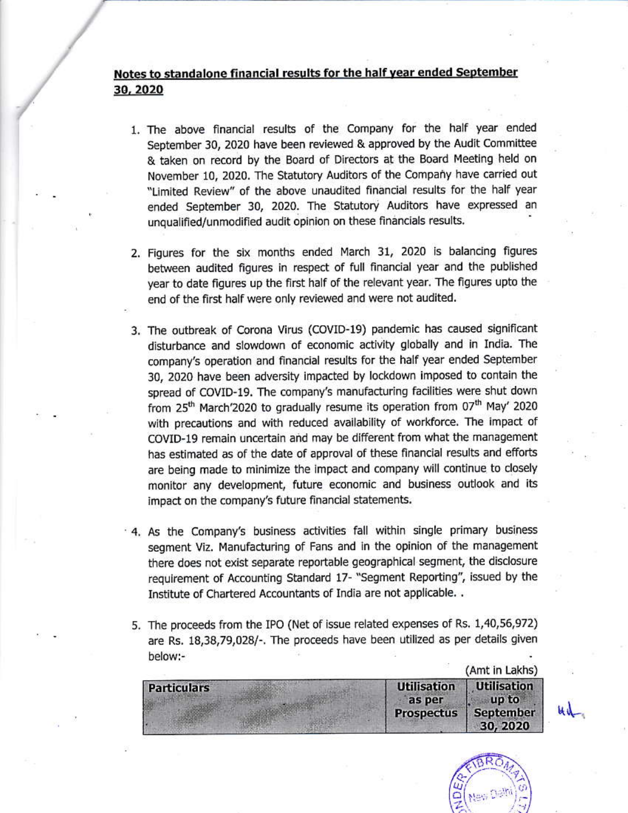### Notes to standalone financial results for the half year ended September 30, 2020

- 1. The above financial results of the Company for the half year ended September 30, 2020 have been reviewed & approved by the Audit Committee & taken on record by the Board of Directors at the Board Meeting held on November 10, 2020. The Statutory Auditors of the Company have carried out "Limited Review" of the above unaudited financial results for the half year ended September 30, 2020. The Statutory Auditors have expressed an unqualified/unmodified audit opinion on these financials results.
- 2. Figures for the six months ended March 31, 2020 is balancing figures between audited figures in respect of full financial year and the published year to date figures up the first half of the relevant year. The figures upto the end of the first half were only reviewed and were not audited.
- 3. The outbreak of Corona Virus (COVID-19) pandemic has caused significant disturbance and slowdown of economic activity globally and in India. The company's operation and financial results for the half year ended September 30, 2020 have been adversity impacted by lockdown imposed to contain the spread of COVID-19. The company's manufacturing facilities were shut down from 25<sup>th</sup> March'2020 to gradually resume its operation from 07<sup>th</sup> May' 2020 with precautions and with reduced availability of workforce. The impact of COVID-19 remain uncertain and may be different from what the management has estimated as of the date of approval of these financial results and efforts are being made to minimize the impact and company will continue to closely monitor any development, future economic and business outlook and its impact on the company's future financial statements.
- 4. As the Company's business activities fall within single primary business segment Viz. Manufacturing of Fans and in the opinion of the management there does not exist separate reportable geographical segment, the disclosure requirement of Accounting Standard 17- "Segment Reporting", issued by the Institute of Chartered Accountants of India are not applicable. .
- 5. The proceeds from the IPO (Net of issue related expenses of Rs. 1,40,56,972) are Rs. 18,38,79,028/-. The proceeds have been utilized as per details given below:-

|                    |                                                   | (Amt in Lakhs)                                              |
|--------------------|---------------------------------------------------|-------------------------------------------------------------|
| <b>Particulars</b> | <b>Utilisation</b><br>as per<br><b>Prospectus</b> | <b>Utilisation</b><br>up to<br><b>September</b><br>30, 2020 |



ud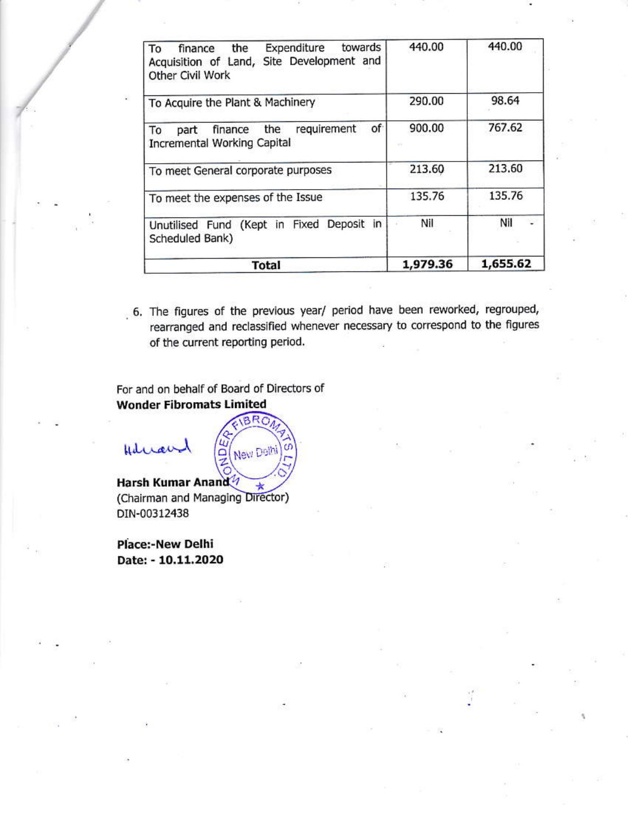| towards<br>Expenditure<br>the<br>To<br>finance<br>Acquisition of Land, Site Development and<br>Other Civil Work | 440.00   | 440.00   |
|-----------------------------------------------------------------------------------------------------------------|----------|----------|
| To Acquire the Plant & Machinery                                                                                | 290.00   | 98.64    |
| of<br>requirement<br>finance the<br>To<br>part<br>Incremental Working Capital                                   | 900.00   | 767.62   |
| To meet General corporate purposes                                                                              | 213.60   | 213.60   |
| To meet the expenses of the Issue                                                                               | 135.76   | 135.76   |
| Unutilised Fund (Kept in Fixed Deposit in<br>Scheduled Bank)                                                    | Nil      | Nil      |
| <b>Total</b>                                                                                                    | 1,979.36 | 1,655.62 |

6. The figures of the previous year/ period have been reworked, regrouped, rearranged and reclassified whenever necessary to correspond to the figures of the current reporting period.

For and on behalf of Board of Directors of **Wonder Fibromats Limited** 

Hilman



Harsh Kumar Anand  $\star$ (Chairman and Managing Director) DIN-00312438

**Place:-New Delhi** Date: - 10.11.2020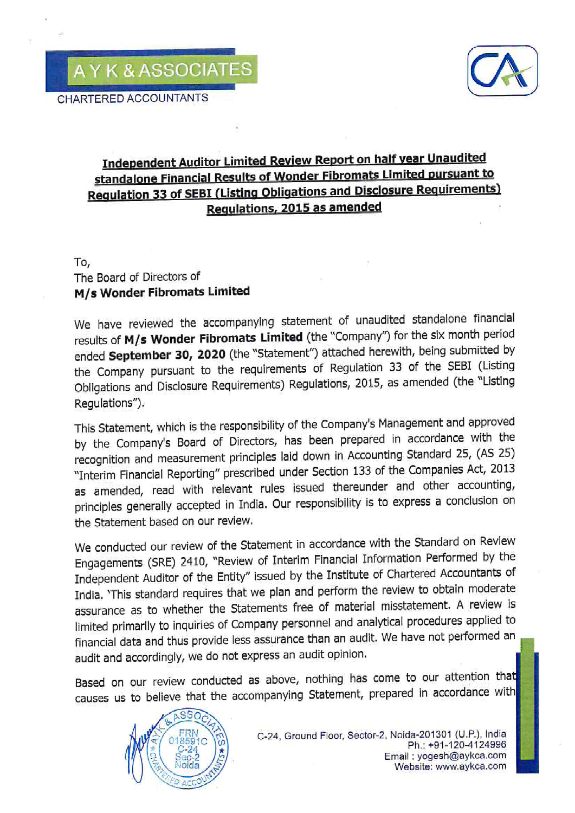

# Independent Auditor Limited Review Report on half year Unaudited standalone Financial Results of Wonder Fibromats Limited pursuant to **Regulation 33 of SEBI (Listing Obligations and Disclosure Requirements)** Regulations, 2015 as amended

To,

## The Board of Directors of M/s Wonder Fibromats Limited

We have reviewed the accompanying statement of unaudited standalone financial results of M/s Wonder Fibromats Limited (the "Company") for the six month period ended September 30, 2020 (the "Statement") attached herewith, being submitted by the Company pursuant to the requirements of Regulation 33 of the SEBI (Listing Obligations and Disclosure Requirements) Regulations, 2015, as amended (the "Listing Requlations").

This Statement, which is the responsibility of the Company's Management and approved by the Company's Board of Directors, has been prepared in accordance with the recognition and measurement principles laid down in Accounting Standard 25, (AS 25) "Interim Financial Reporting" prescribed under Section 133 of the Companies Act, 2013 as amended, read with relevant rules issued thereunder and other accounting, principles generally accepted in India. Our responsibility is to express a conclusion on the Statement based on our review.

We conducted our review of the Statement in accordance with the Standard on Review Engagements (SRE) 2410, "Review of Interim Financial Information Performed by the Independent Auditor of the Entity" issued by the Institute of Chartered Accountants of India. 'This standard requires that we plan and perform the review to obtain moderate assurance as to whether the Statements free of material misstatement. A review is limited primarily to inquiries of Company personnel and analytical procedures applied to financial data and thus provide less assurance than an audit. We have not performed an audit and accordingly, we do not express an audit opinion.

Based on our review conducted as above, nothing has come to our attention that causes us to believe that the accompanying Statement, prepared in accordance with

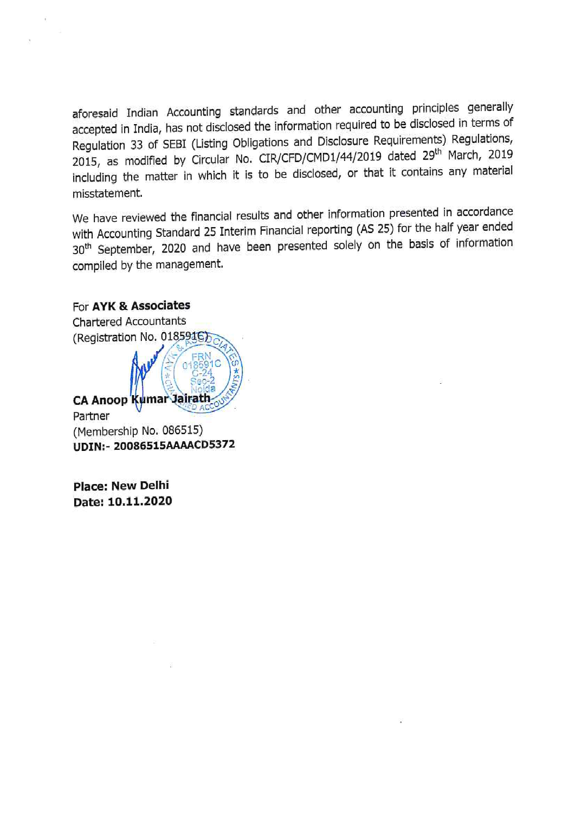aforesaid Indian Accounting standards and other accounting principles generally accepted in India, has not disclosed the information required to be disclosed in terms of Regulation 33 of SEBI (Listing Obligations and Disclosure Requirements) Regulations, 2015, as modified by Circular No. CIR/CFD/CMD1/44/2019 dated 29<sup>th</sup> March, 2019 including the matter in which it is to be disclosed, or that it contains any material misstatement.

We have reviewed the financial results and other information presented in accordance with Accounting Standard 25 Interim Financial reporting (AS 25) for the half year ended 30<sup>th</sup> September, 2020 and have been presented solely on the basis of information compiled by the management.

### For AYK & Associates



**Place: New Delhi** Date: 10.11.2020